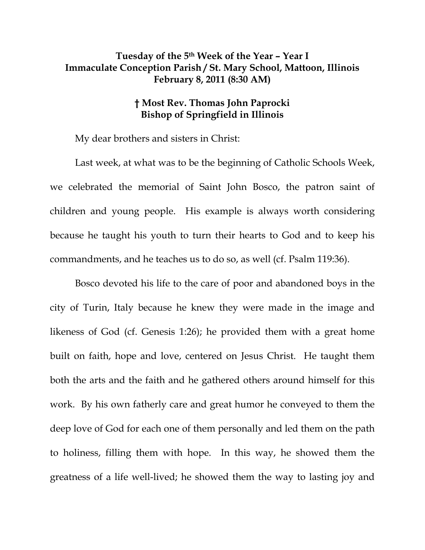## **Tuesday of the 5th Week of the Year – Year I Immaculate Conception Parish / St. Mary School, Mattoon, Illinois February 8, 2011 (8:30 AM)**

## **† Most Rev. Thomas John Paprocki Bishop of Springfield in Illinois**

My dear brothers and sisters in Christ:

 Last week, at what was to be the beginning of Catholic Schools Week, we celebrated the memorial of Saint John Bosco, the patron saint of children and young people. His example is always worth considering because he taught his youth to turn their hearts to God and to keep his commandments, and he teaches us to do so, as well (cf. Psalm 119:36).

Bosco devoted his life to the care of poor and abandoned boys in the city of Turin, Italy because he knew they were made in the image and likeness of God (cf. Genesis 1:26); he provided them with a great home built on faith, hope and love, centered on Jesus Christ. He taught them both the arts and the faith and he gathered others around himself for this work. By his own fatherly care and great humor he conveyed to them the deep love of God for each one of them personally and led them on the path to holiness, filling them with hope. In this way, he showed them the greatness of a life well-lived; he showed them the way to lasting joy and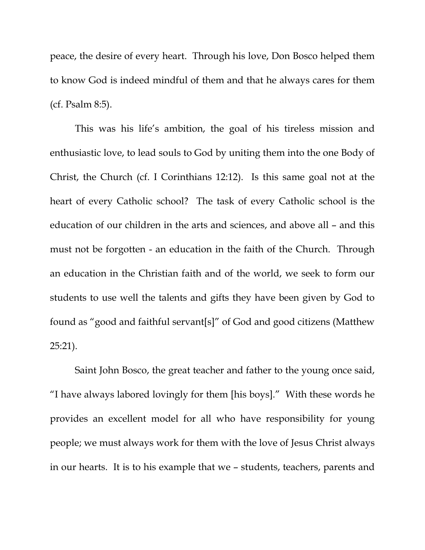peace, the desire of every heart. Through his love, Don Bosco helped them to know God is indeed mindful of them and that he always cares for them (cf. Psalm 8:5).

This was his life's ambition, the goal of his tireless mission and enthusiastic love, to lead souls to God by uniting them into the one Body of Christ, the Church (cf. I Corinthians 12:12). Is this same goal not at the heart of every Catholic school? The task of every Catholic school is the education of our children in the arts and sciences, and above all – and this must not be forgotten - an education in the faith of the Church. Through an education in the Christian faith and of the world, we seek to form our students to use well the talents and gifts they have been given by God to found as "good and faithful servant[s]" of God and good citizens (Matthew 25:21).

 Saint John Bosco, the great teacher and father to the young once said, "I have always labored lovingly for them [his boys]." With these words he provides an excellent model for all who have responsibility for young people; we must always work for them with the love of Jesus Christ always in our hearts. It is to his example that we – students, teachers, parents and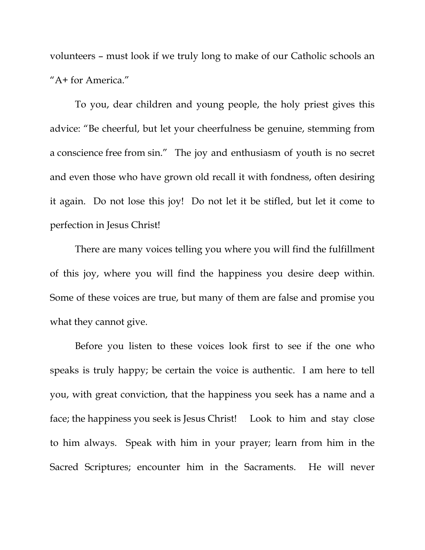volunteers – must look if we truly long to make of our Catholic schools an "A+ for America."

 To you, dear children and young people, the holy priest gives this advice: "Be cheerful, but let your cheerfulness be genuine, stemming from a conscience free from sin." The joy and enthusiasm of youth is no secret and even those who have grown old recall it with fondness, often desiring it again. Do not lose this joy! Do not let it be stifled, but let it come to perfection in Jesus Christ!

 There are many voices telling you where you will find the fulfillment of this joy, where you will find the happiness you desire deep within. Some of these voices are true, but many of them are false and promise you what they cannot give.

 Before you listen to these voices look first to see if the one who speaks is truly happy; be certain the voice is authentic. I am here to tell you, with great conviction, that the happiness you seek has a name and a face; the happiness you seek is Jesus Christ! Look to him and stay close to him always. Speak with him in your prayer; learn from him in the Sacred Scriptures; encounter him in the Sacraments. He will never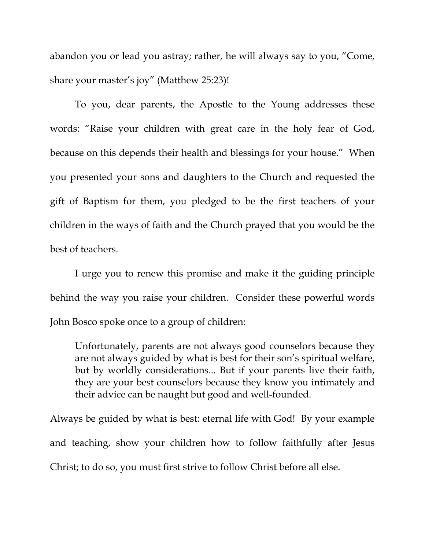abandon you or lead you astray; rather, he will always say to you, "Come, share your master's joy" (Matthew 25:23)!

 To you, dear parents, the Apostle to the Young addresses these words: "Raise your children with great care in the holy fear of God, because on this depends their health and blessings for your house." When you presented your sons and daughters to the Church and requested the gift of Baptism for them, you pledged to be the first teachers of your children in the ways of faith and the Church prayed that you would be the best of teachers.

 I urge you to renew this promise and make it the guiding principle behind the way you raise your children. Consider these powerful words John Bosco spoke once to a group of children:

Unfortunately, parents are not always good counselors because they are not always guided by what is best for their son's spiritual welfare, but by worldly considerations... But if your parents live their faith, they are your best counselors because they know you intimately and their advice can be naught but good and well-founded.

Always be guided by what is best: eternal life with God! By your example and teaching, show your children how to follow faithfully after Jesus Christ; to do so, you must first strive to follow Christ before all else.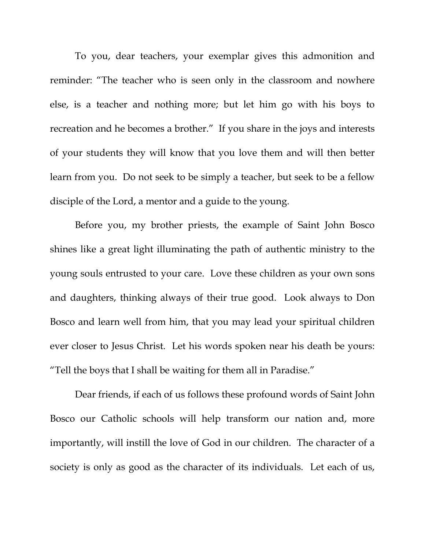To you, dear teachers, your exemplar gives this admonition and reminder: "The teacher who is seen only in the classroom and nowhere else, is a teacher and nothing more; but let him go with his boys to recreation and he becomes a brother." If you share in the joys and interests of your students they will know that you love them and will then better learn from you. Do not seek to be simply a teacher, but seek to be a fellow disciple of the Lord, a mentor and a guide to the young.

 Before you, my brother priests, the example of Saint John Bosco shines like a great light illuminating the path of authentic ministry to the young souls entrusted to your care. Love these children as your own sons and daughters, thinking always of their true good. Look always to Don Bosco and learn well from him, that you may lead your spiritual children ever closer to Jesus Christ. Let his words spoken near his death be yours: "Tell the boys that I shall be waiting for them all in Paradise."

 Dear friends, if each of us follows these profound words of Saint John Bosco our Catholic schools will help transform our nation and, more importantly, will instill the love of God in our children. The character of a society is only as good as the character of its individuals. Let each of us,